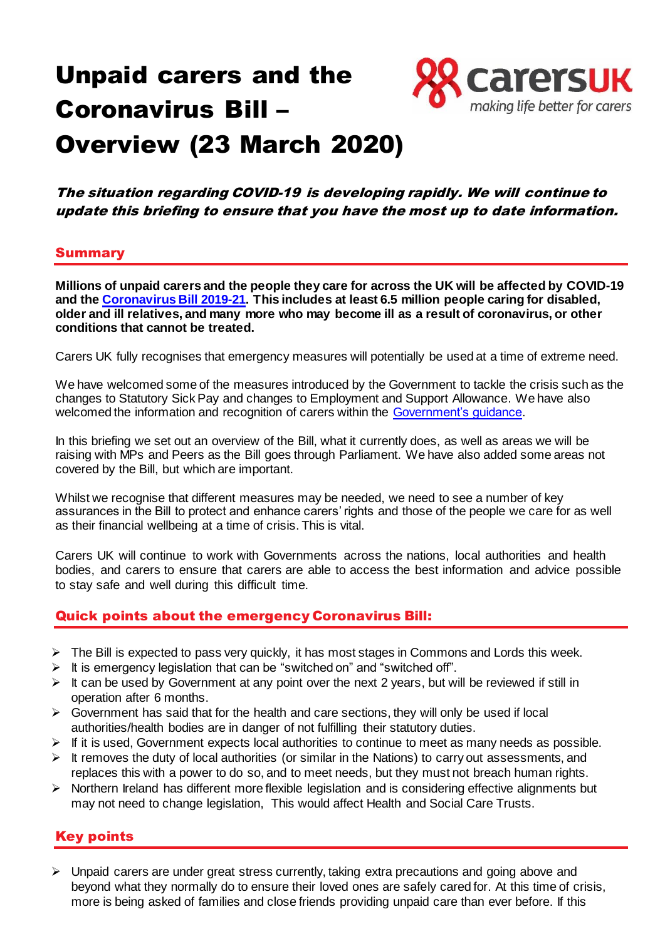# Unpaid carers and the Coronavirus Bill – Overview (23 March 2020)



The situation regarding COVID-19 is developing rapidly. We will continue to update this briefing to ensure that you have the most up to date information.

#### Summary

**Millions of unpaid carers and the people they care for across the UK will be affected by COVID-19 and the [Coronavirus Bill](https://services.parliament.uk/Bills/2019-21/coronavirus.html) 2019-21. This includes at least 6.5 million people caring for disabled, older and ill relatives, and many more who may become ill as a result of coronavirus, or other conditions that cannot be treated.** 

Carers UK fully recognises that emergency measures will potentially be used at a time of extreme need.

We have welcomed some of the measures introduced by the Government to tackle the crisis such as the changes to Statutory Sick Pay and changes to Employment and Support Allowance. We have also welcomed the information and recognition of carers within the Government's quidance.

In this briefing we set out an overview of the Bill, what it currently does, as well as areas we will be raising with MPs and Peers as the Bill goes through Parliament. We have also added some areas not covered by the Bill, but which are important.

Whilst we recognise that different measures may be needed, we need to see a number of key assurances in the Bill to protect and enhance carers' rights and those of the people we care for as well as their financial wellbeing at a time of crisis. This is vital.

Carers UK will continue to work with Governments across the nations, local authorities and health bodies, and carers to ensure that carers are able to access the best information and advice possible to stay safe and well during this difficult time.

#### Quick points about the emergency Coronavirus Bill:

- $\triangleright$  The Bill is expected to pass very quickly, it has most stages in Commons and Lords this week.
- $\triangleright$  It is emergency legislation that can be "switched on" and "switched off".
- $\triangleright$  It can be used by Government at any point over the next 2 years, but will be reviewed if still in operation after 6 months.
- ➢ Government has said that for the health and care sections, they will only be used if local authorities/health bodies are in danger of not fulfilling their statutory duties.
- $\triangleright$  If it is used, Government expects local authorities to continue to meet as many needs as possible.
- $\triangleright$  It removes the duty of local authorities (or similar in the Nations) to carry out assessments, and replaces this with a power to do so, and to meet needs, but they must not breach human rights.
- ➢ Northern Ireland has different more flexible legislation and is considering effective alignments but may not need to change legislation, This would affect Health and Social Care Trusts.

# Key points

➢ Unpaid carers are under great stress currently, taking extra precautions and going above and beyond what they normally do to ensure their loved ones are safely cared for. At this time of crisis, more is being asked of families and close friends providing unpaid care than ever before. If this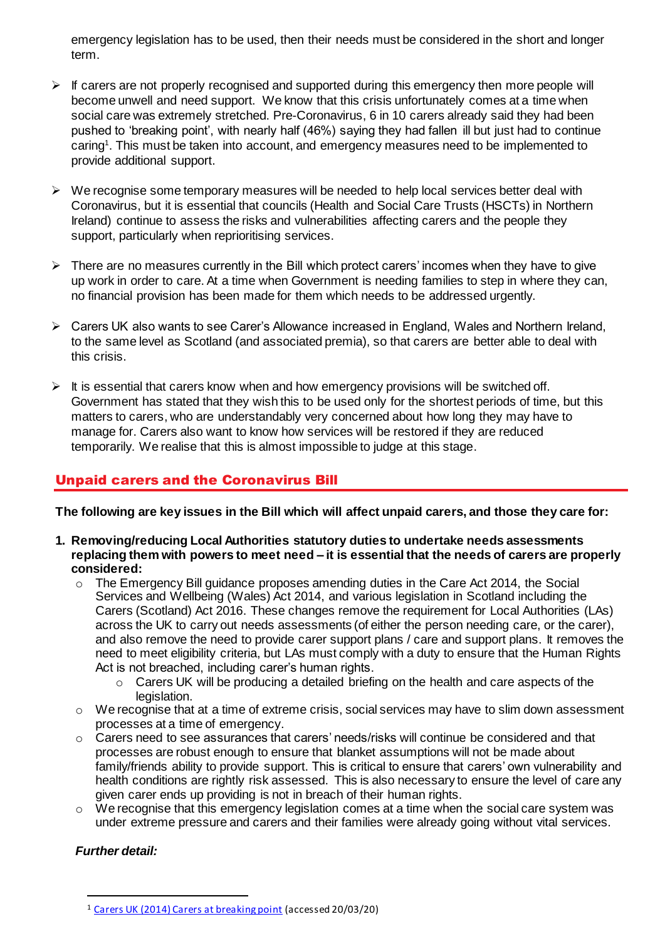emergency legislation has to be used, then their needs must be considered in the short and longer term.

- $\triangleright$  If carers are not properly recognised and supported during this emergency then more people will become unwell and need support. We know that this crisis unfortunately comes at a time when social care was extremely stretched. Pre-Coronavirus, 6 in 10 carers already said they had been pushed to 'breaking point', with nearly half (46%) saying they had fallen ill but just had to continue caring<sup>1</sup>. This must be taken into account, and emergency measures need to be implemented to provide additional support.
- $\triangleright$  We recognise some temporary measures will be needed to help local services better deal with Coronavirus, but it is essential that councils (Health and Social Care Trusts (HSCTs) in Northern Ireland) continue to assess the risks and vulnerabilities affecting carers and the people they support, particularly when reprioritising services.
- $\triangleright$  There are no measures currently in the Bill which protect carers' incomes when they have to give up work in order to care. At a time when Government is needing families to step in where they can, no financial provision has been made for them which needs to be addressed urgently.
- ➢ Carers UK also wants to see Carer's Allowance increased in England, Wales and Northern Ireland, to the same level as Scotland (and associated premia), so that carers are better able to deal with this crisis.
- $\triangleright$  It is essential that carers know when and how emergency provisions will be switched off. Government has stated that they wish this to be used only for the shortest periods of time, but this matters to carers, who are understandably very concerned about how long they may have to manage for. Carers also want to know how services will be restored if they are reduced temporarily. We realise that this is almost impossible to judge at this stage.

# Unpaid carers and the Coronavirus Bill

#### **The following are key issues in the Bill which will affect unpaid carers, and those they care for:**

- **1. Removing/reducing Local Authorities statutory duties to undertake needs assessments replacing them with powers to meet need – it is essential that the needs of carers are properly considered:** 
	- o The Emergency Bill guidance proposes amending duties in the Care Act 2014, the Social Services and Wellbeing (Wales) Act 2014, and various legislation in Scotland including the Carers (Scotland) Act 2016. These changes remove the requirement for Local Authorities (LAs) across the UK to carry out needs assessments (of either the person needing care, or the carer), and also remove the need to provide carer support plans / care and support plans. It removes the need to meet eligibility criteria, but LAs must comply with a duty to ensure that the Human Rights Act is not breached, including carer's human rights.
		- $\circ$  Carers UK will be producing a detailed briefing on the health and care aspects of the legislation.
	- $\circ$  We recognise that at a time of extreme crisis, social services may have to slim down assessment processes at a time of emergency.
	- o Carers need to see assurances that carers' needs/risks will continue be considered and that processes are robust enough to ensure that blanket assumptions will not be made about family/friends ability to provide support. This is critical to ensure that carers' own vulnerability and health conditions are rightly risk assessed. This is also necessary to ensure the level of care any given carer ends up providing is not in breach of their human rights.
	- o We recognise that this emergency legislation comes at a time when the social care system was under extreme pressure and carers and their families were already going without vital services.

#### *Further detail:*

 $\overline{a}$ 

<sup>&</sup>lt;sup>1</sup> [Carers UK \(2014\) Carers at breaking point](https://www.carersuk.org/for-professionals/policy/policy-library/carers-at-breaking-point-report) (accessed 20/03/20)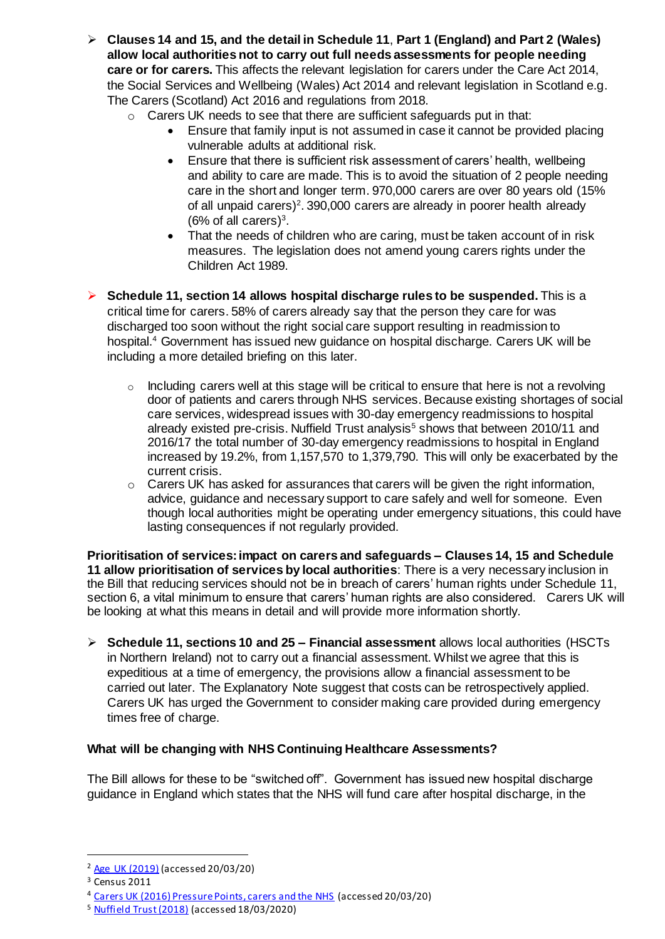- ➢ **Clauses 14 and 15, and the detail in Schedule 11**, **Part 1 (England) and Part 2 (Wales) allow local authorities not to carry out full needs assessments for people needing care or for carers.** This affects the relevant legislation for carers under the Care Act 2014, the Social Services and Wellbeing (Wales) Act 2014 and relevant legislation in Scotland e.g. The Carers (Scotland) Act 2016 and regulations from 2018.
	- o Carers UK needs to see that there are sufficient safeguards put in that:
		- Ensure that family input is not assumed in case it cannot be provided placing vulnerable adults at additional risk.
			- Ensure that there is sufficient risk assessment of carers' health, wellbeing and ability to care are made. This is to avoid the situation of 2 people needing care in the short and longer term. 970,000 carers are over 80 years old (15% of all unpaid carers)<sup>2</sup>. 390,000 carers are already in poorer health already  $(6\% \text{ of all cares})^3$ .
		- That the needs of children who are caring, must be taken account of in risk measures. The legislation does not amend young carers rights under the Children Act 1989.
- ➢ **Schedule 11, section 14 allows hospital discharge rules to be suspended.** This is a critical time for carers. 58% of carers already say that the person they care for was discharged too soon without the right social care support resulting in readmission to hospital.<sup>4</sup> Government has issued new guidance on hospital discharge. Carers UK will be including a more detailed briefing on this later.
	- $\circ$  Including carers well at this stage will be critical to ensure that here is not a revolving door of patients and carers through NHS services. Because existing shortages of social care services, widespread issues with 30-day emergency readmissions to hospital already existed pre-crisis. Nuffield Trust analysis<sup>5</sup> shows that between 2010/11 and 2016/17 the total number of 30-day emergency readmissions to hospital in England increased by 19.2%, from 1,157,570 to 1,379,790. This will only be exacerbated by the current crisis.
	- $\circ$  Carers UK has asked for assurances that carers will be given the right information, advice, guidance and necessary support to care safely and well for someone. Even though local authorities might be operating under emergency situations, this could have lasting consequences if not regularly provided.

**Prioritisation of services: impact on carers and safeguards – Clauses 14, 15 and Schedule 11 allow prioritisation of services by local authorities**: There is a very necessary inclusion in the Bill that reducing services should not be in breach of carers' human rights under Schedule 11, section 6, a vital minimum to ensure that carers' human rights are also considered. Carers UK will be looking at what this means in detail and will provide more information shortly.

➢ **Schedule 11, sections 10 and 25 – Financial assessment** allows local authorities (HSCTs in Northern Ireland) not to carry out a financial assessment. Whilst we agree that this is expeditious at a time of emergency, the provisions allow a financial assessment to be carried out later. The Explanatory Note suggest that costs can be retrospectively applied. Carers UK has urged the Government to consider making care provided during emergency times free of charge.

#### **What will be changing with NHS Continuing Healthcare Assessments?**

The Bill allows for these to be "switched off". Government has issued new hospital discharge guidance in England which states that the NHS will fund care after hospital discharge, in the

 $\overline{a}$ 

<sup>2</sup> [Age UK \(2019\)](https://www.ageuk.org.uk/latest-press/articles/2019/december/new-age-uk-analysis-finds-our-over-80s-save-government-23-billion-a-year-through-the-unpaid-care-they-give-loved-ones/) (accessed 20/03/20)

<sup>3</sup> Census 2011

<sup>4</sup> [Carers UK \(2016\) Pressure Points, carers and the NHS](https://www.carersuk.org/for-professionals/policy/policy-library/pressure-points-carers-and-the-nhs) (accessed 20/03/20)

<sup>5</sup> [Nuffield Trust \(2018\)](https://www.nuffieldtrust.org.uk/news-item/emergency-readmissions-trends-in-emergency-readmissions-to-hospital-in-england-1) (accessed 18/03/2020)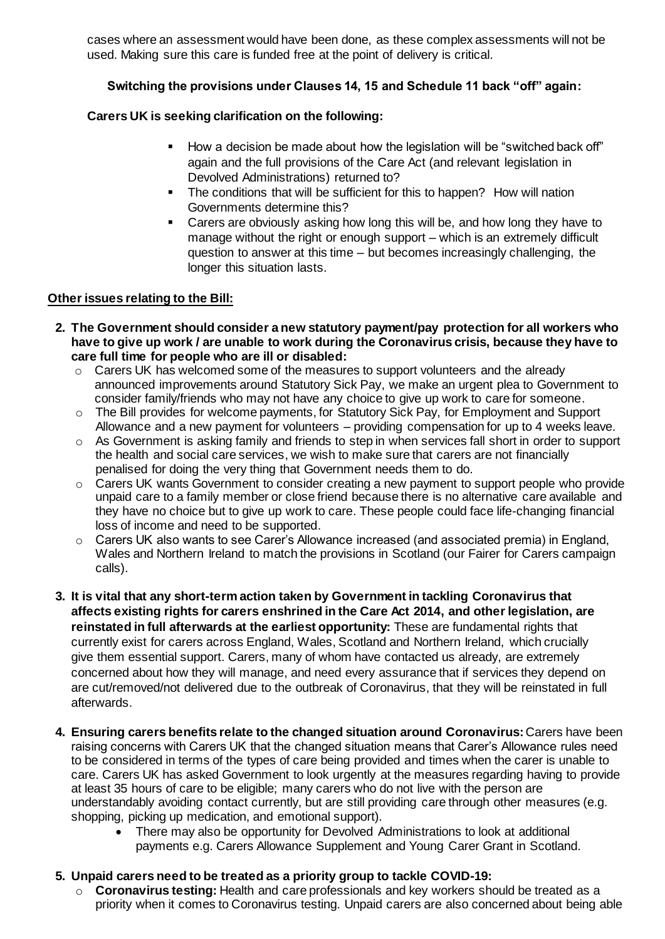cases where an assessment would have been done, as these complex assessments will not be used. Making sure this care is funded free at the point of delivery is critical.

#### **Switching the provisions under Clauses 14, 15 and Schedule 11 back "off" again:**

#### **Carers UK is seeking clarification on the following:**

- How a decision be made about how the legislation will be "switched back off" again and the full provisions of the Care Act (and relevant legislation in Devolved Administrations) returned to?
- **•** The conditions that will be sufficient for this to happen? How will nation Governments determine this?
- Carers are obviously asking how long this will be, and how long they have to manage without the right or enough support – which is an extremely difficult question to answer at this time – but becomes increasingly challenging, the longer this situation lasts.

## **Other issues relating to the Bill:**

- **2. The Government should consider a new statutory payment/pay protection for all workers who have to give up work / are unable to work during the Coronavirus crisis, because they have to care full time for people who are ill or disabled:**
	- $\circ$  Carers UK has welcomed some of the measures to support volunteers and the already announced improvements around Statutory Sick Pay, we make an urgent plea to Government to consider family/friends who may not have any choice to give up work to care for someone.
	- o The Bill provides for welcome payments, for Statutory Sick Pay, for Employment and Support Allowance and a new payment for volunteers – providing compensation for up to 4 weeks leave.
	- $\circ$  As Government is asking family and friends to step in when services fall short in order to support the health and social care services, we wish to make sure that carers are not financially penalised for doing the very thing that Government needs them to do.
	- o Carers UK wants Government to consider creating a new payment to support people who provide unpaid care to a family member or close friend because there is no alternative care available and they have no choice but to give up work to care. These people could face life-changing financial loss of income and need to be supported.
	- o Carers UK also wants to see Carer's Allowance increased (and associated premia) in England, Wales and Northern Ireland to match the provisions in Scotland (our Fairer for Carers campaign calls).
- **3. It is vital that any short-term action taken by Government in tackling Coronavirus that affects existing rights for carers enshrined in the Care Act 2014, and other legislation, are reinstated in full afterwards at the earliest opportunity:** These are fundamental rights that currently exist for carers across England, Wales, Scotland and Northern Ireland, which crucially give them essential support. Carers, many of whom have contacted us already, are extremely concerned about how they will manage, and need every assurance that if services they depend on are cut/removed/not delivered due to the outbreak of Coronavirus, that they will be reinstated in full afterwards.
- **4. Ensuring carers benefits relate to the changed situation around Coronavirus:**Carers have been raising concerns with Carers UK that the changed situation means that Carer's Allowance rules need to be considered in terms of the types of care being provided and times when the carer is unable to care. Carers UK has asked Government to look urgently at the measures regarding having to provide at least 35 hours of care to be eligible; many carers who do not live with the person are understandably avoiding contact currently, but are still providing care through other measures (e.g. shopping, picking up medication, and emotional support).
	- There may also be opportunity for Devolved Administrations to look at additional payments e.g. Carers Allowance Supplement and Young Carer Grant in Scotland.

#### **5. Unpaid carers need to be treated as a priority group to tackle COVID-19:**

o **Coronavirus testing:** Health and care professionals and key workers should be treated as a priority when it comes to Coronavirus testing. Unpaid carers are also concerned about being able